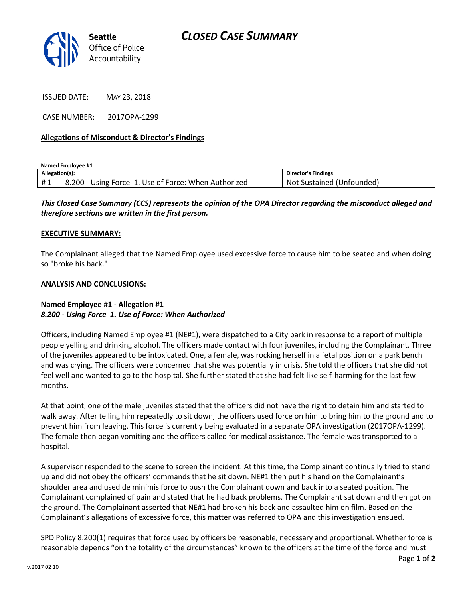

ISSUED DATE: MAY 23, 2018

CASE NUMBER: 2017OPA-1299

### **Allegations of Misconduct & Director's Findings**

**Named Employee #1**

| Allegation(s): |                                                            | <b>Director's Findings</b>          |
|----------------|------------------------------------------------------------|-------------------------------------|
| #1             | 8.200<br>. Use of Force: When Authorized<br>Force<br>Usıng | Sustained (1<br>Unfounded)<br>. Not |

# *This Closed Case Summary (CCS) represents the opinion of the OPA Director regarding the misconduct alleged and therefore sections are written in the first person.*

#### **EXECUTIVE SUMMARY:**

The Complainant alleged that the Named Employee used excessive force to cause him to be seated and when doing so "broke his back."

#### **ANALYSIS AND CONCLUSIONS:**

## **Named Employee #1 - Allegation #1** *8.200 - Using Force 1. Use of Force: When Authorized*

Officers, including Named Employee #1 (NE#1), were dispatched to a City park in response to a report of multiple people yelling and drinking alcohol. The officers made contact with four juveniles, including the Complainant. Three of the juveniles appeared to be intoxicated. One, a female, was rocking herself in a fetal position on a park bench and was crying. The officers were concerned that she was potentially in crisis. She told the officers that she did not feel well and wanted to go to the hospital. She further stated that she had felt like self-harming for the last few months.

At that point, one of the male juveniles stated that the officers did not have the right to detain him and started to walk away. After telling him repeatedly to sit down, the officers used force on him to bring him to the ground and to prevent him from leaving. This force is currently being evaluated in a separate OPA investigation (2017OPA-1299). The female then began vomiting and the officers called for medical assistance. The female was transported to a hospital.

A supervisor responded to the scene to screen the incident. At this time, the Complainant continually tried to stand up and did not obey the officers' commands that he sit down. NE#1 then put his hand on the Complainant's shoulder area and used de minimis force to push the Complainant down and back into a seated position. The Complainant complained of pain and stated that he had back problems. The Complainant sat down and then got on the ground. The Complainant asserted that NE#1 had broken his back and assaulted him on film. Based on the Complainant's allegations of excessive force, this matter was referred to OPA and this investigation ensued.

SPD Policy 8.200(1) requires that force used by officers be reasonable, necessary and proportional. Whether force is reasonable depends "on the totality of the circumstances" known to the officers at the time of the force and must